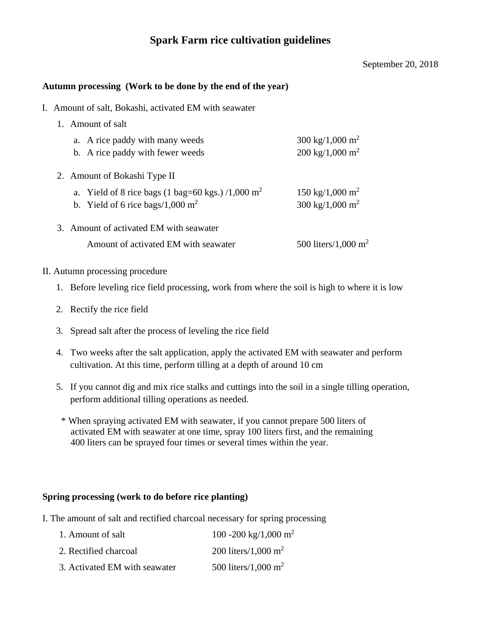# **Spark Farm rice cultivation guidelines**

#### September 20, 2018

#### **Autumn processing (Work to be done by the end of the year)**

I. Amount of salt, Bokashi, activated EM with seawater

|  | 1. Amount of salt                                                                                             |                                                            |
|--|---------------------------------------------------------------------------------------------------------------|------------------------------------------------------------|
|  | a. A rice paddy with many weeds<br>b. A rice paddy with fewer weeds                                           | 300 kg/1,000 m <sup>2</sup><br>200 kg/1,000 m <sup>2</sup> |
|  | 2. Amount of Bokashi Type II                                                                                  |                                                            |
|  | a. Yield of 8 rice bags (1 bag=60 kgs.) /1,000 m <sup>2</sup><br>b. Yield of 6 rice bags/1,000 m <sup>2</sup> | 150 kg/1,000 m <sup>2</sup><br>300 kg/1,000 m <sup>2</sup> |
|  | 3. Amount of activated EM with seawater                                                                       |                                                            |
|  | Amount of activated EM with seawater                                                                          | 500 liters/1,000 m <sup>2</sup>                            |

#### II. Autumn processing procedure

- 1. Before leveling rice field processing, work from where the soil is high to where it is low
- 2. Rectify the rice field
- 3. Spread salt after the process of leveling the rice field
- 4. Two weeks after the salt application, apply the activated EM with seawater and perform cultivation. At this time, perform tilling at a depth of around 10 cm
- 5. If you cannot dig and mix rice stalks and cuttings into the soil in a single tilling operation, perform additional tilling operations as needed.
	- \* When spraying activated EM with seawater, if you cannot prepare 500 liters of activated EM with seawater at one time, spray 100 liters first, and the remaining 400 liters can be sprayed four times or several times within the year.

### **Spring processing (work to do before rice planting)**

I. The amount of salt and rectified charcoal necessary for spring processing

| 1. Amount of salt             | 100 -200 kg/1,000 m <sup>2</sup> |
|-------------------------------|----------------------------------|
| 2. Rectified charcoal         | 200 liters/1,000 m <sup>2</sup>  |
| 3. Activated EM with seawater | 500 liters/1,000 m <sup>2</sup>  |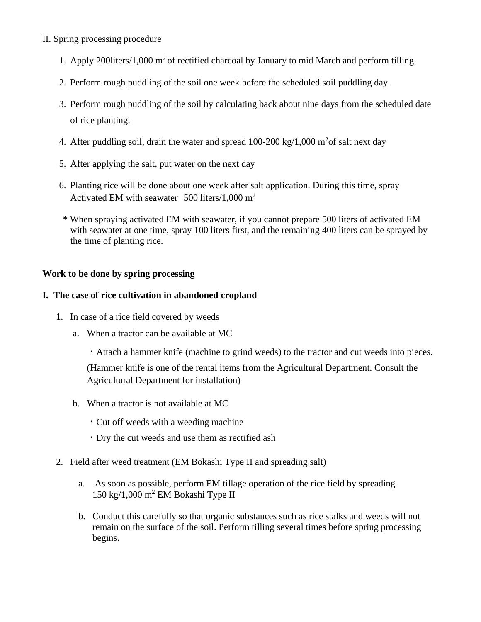## II. Spring processing procedure

- 1. Apply 2001iters/1,000  $m^2$  of rectified charcoal by January to mid March and perform tilling.
- 2. Perform rough puddling of the soil one week before the scheduled soil puddling day.
- 3. Perform rough puddling of the soil by calculating back about nine days from the scheduled date of rice planting.
- 4. After puddling soil, drain the water and spread  $100-200 \text{ kg}/1,000 \text{ m}^2$  of salt next day
- 5. After applying the salt, put water on the next day
- 6. Planting rice will be done about one week after salt application. During this time, spray Activated EM with seawater 500 liters/1,000  $m<sup>2</sup>$
- \* When spraying activated EM with seawater, if you cannot prepare 500 liters of activated EM with seawater at one time, spray 100 liters first, and the remaining 400 liters can be sprayed by the time of planting rice.

## **Work to be done by spring processing**

## **I. The case of rice cultivation in abandoned cropland**

- 1. In case of a rice field covered by weeds
	- a. When a tractor can be available at MC

・Attach a hammer knife (machine to grind weeds) to the tractor and cut weeds into pieces. (Hammer knife is one of the rental items from the Agricultural Department. Consult the Agricultural Department for installation)

- b. When a tractor is not available at MC
	- ・Cut off weeds with a weeding machine
	- ・Dry the cut weeds and use them as rectified ash
- 2. Field after weed treatment (EM Bokashi Type II and spreading salt)
	- a. As soon as possible, perform EM tillage operation of the rice field by spreading  $150 \text{ kg}/1,000 \text{ m}^2$  EM Bokashi Type II
	- b. Conduct this carefully so that organic substances such as rice stalks and weeds will not remain on the surface of the soil. Perform tilling several times before spring processing begins.